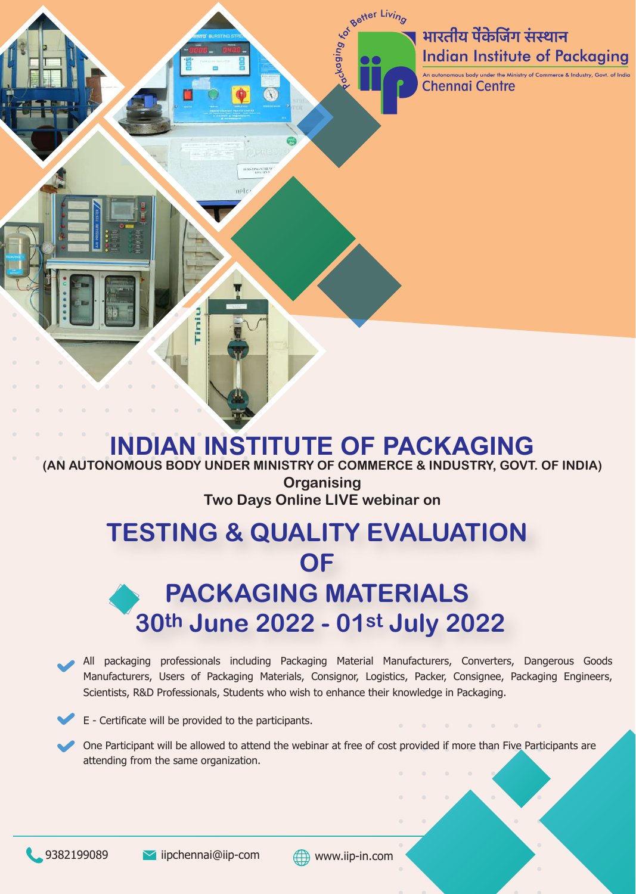भारतीय पेंकेजिंग संस्थान **Indian Institute of Packaging** 

An autonomous body under the Ministry of Commerce & Industry, Govt **Chennai Centre** 

**Better Living** 

puipby<sub>2</sub>

# **INDIAN INSTITUTE OF PACKAGING (AN AUTONOMOUS BODY UNDER MINISTRY OF COMMERCE & INDUSTRY, GOVT. OF INDIA) Organising Two Days Online LIVE webinar on TESTING & QUALITY EVALUATION OF PACKAGING MATERIALS 30th June 2022 - 01st July 2022**

All packaging professionals including Packaging Material Manufacturers, Converters, Dangerous Goods Manufacturers, Users of Packaging Materials, Consignor, Logistics, Packer, Consignee, Packaging Engineers, Scientists, R&D Professionals, Students who wish to enhance their knowledge in Packaging.

E - Certificate will be provided to the participants.

Ē

One Participant will be allowed to attend the webinar at free of cost provided if more than Five Participants are attending from the same organization.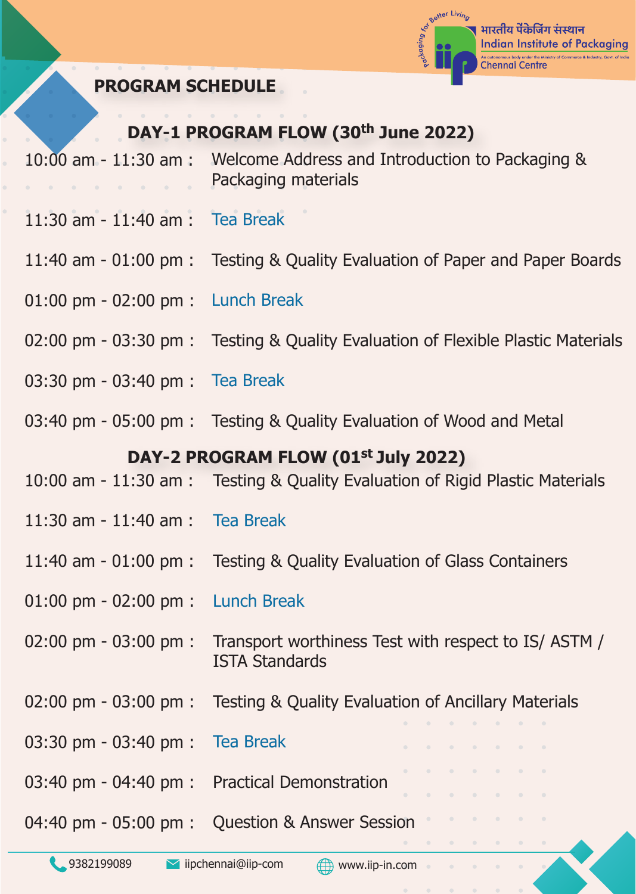

### **PROGRAM SCHEDULE**

### **DAY-1 PROGRAM FLOW (30th June 2022)**

- 10:00 am 11:30 am : Welcome Address and Introduction to Packaging & Packaging materials  $\sim$   $\sim$   $\sim$   $\sim$   $\sim$
- 11:30 am 11:40 am : Tea Break
- 11:40 am 01:00 pm : Testing & Quality Evaluation of Paper and Paper Boards
- 01:00 pm 02:00 pm : Lunch Break
- 02:00 pm 03:30 pm : Testing & Quality Evaluation of Flexible Plastic Materials
- 03:30 pm 03:40 pm : Tea Break
- 03:40 pm 05:00 pm : Testing & Quality Evaluation of Wood and Metal

#### **DAY-2 PROGRAM FLOW (01st July 2022)**

- 10:00 am 11:30 am : Testing & Quality Evaluation of Rigid Plastic Materials
- 11:30 am 11:40 am : Tea Break
- 11:40 am 01:00 pm : Testing & Quality Evaluation of Glass Containers
- 01:00 pm 02:00 pm : Lunch Break
- 02:00 pm 03:00 pm : Transport worthiness Test with respect to IS/ ASTM / ISTA Standards
- 02:00 pm 03:00 pm : Testing & Quality Evaluation of Ancillary Materials
- 03:30 pm 03:40 pm : Tea Break
- 03:40 pm 04:40 pm : Practical Demonstration
- 04:40 pm 05:00 pm : Question & Answer Session